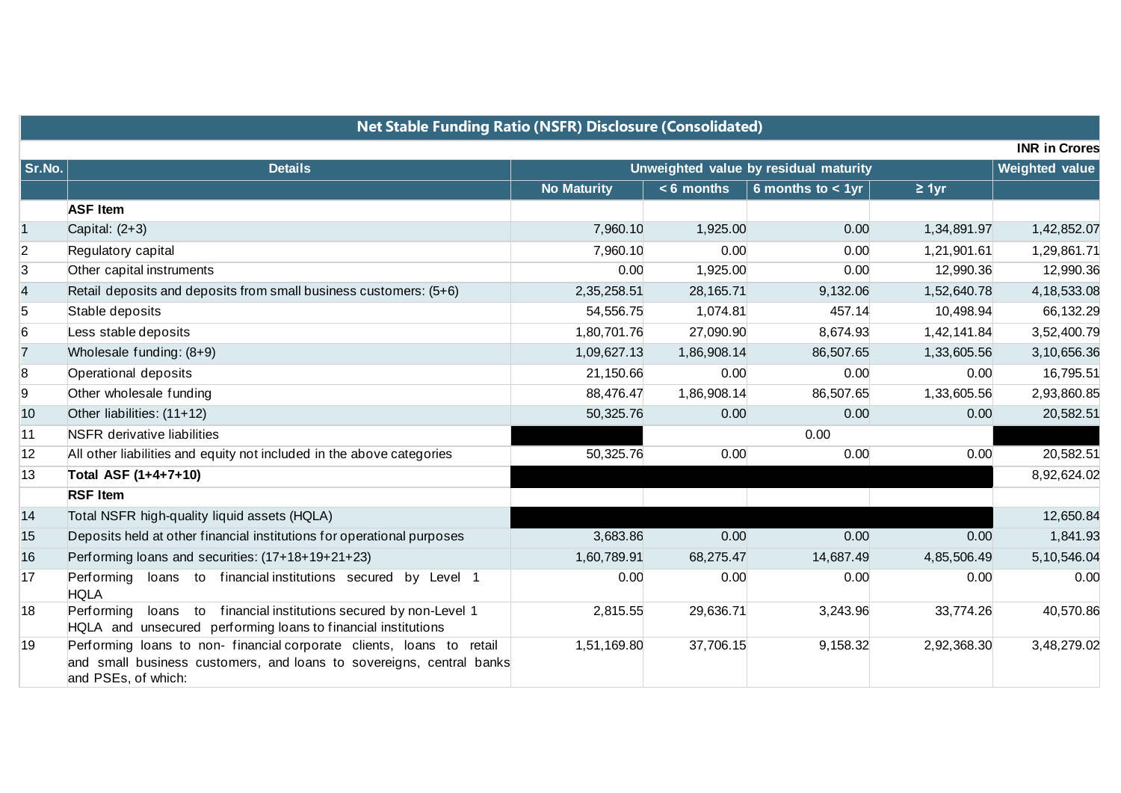| <b>Net Stable Funding Ratio (NSFR) Disclosure (Consolidated)</b> |                                                                                                                                                                     |                                       |              |                     |             |                       |  |  |  |
|------------------------------------------------------------------|---------------------------------------------------------------------------------------------------------------------------------------------------------------------|---------------------------------------|--------------|---------------------|-------------|-----------------------|--|--|--|
|                                                                  |                                                                                                                                                                     |                                       |              |                     |             | <b>INR in Crores</b>  |  |  |  |
| Sr.No.                                                           | <b>Details</b>                                                                                                                                                      | Unweighted value by residual maturity |              |                     |             | <b>Weighted value</b> |  |  |  |
|                                                                  |                                                                                                                                                                     | <b>No Maturity</b>                    | $< 6$ months | 6 months to $<$ 1yr | $\geq 1$ yr |                       |  |  |  |
|                                                                  | <b>ASF Item</b>                                                                                                                                                     |                                       |              |                     |             |                       |  |  |  |
| $\vert$ 1                                                        | Capital: (2+3)                                                                                                                                                      | 7,960.10                              | 1,925.00     | 0.00                | 1,34,891.97 | 1,42,852.07           |  |  |  |
| $\overline{2}$                                                   | Regulatory capital                                                                                                                                                  | 7,960.10                              | 0.00         | 0.00                | 1,21,901.61 | 1,29,861.71           |  |  |  |
| 3                                                                | Other capital instruments                                                                                                                                           | 0.00                                  | 1,925.00     | 0.00                | 12,990.36   | 12,990.36             |  |  |  |
| $\overline{4}$                                                   | Retail deposits and deposits from small business customers: (5+6)                                                                                                   | 2,35,258.51                           | 28,165.71    | 9,132.06            | 1,52,640.78 | 4, 18, 533.08         |  |  |  |
| 5                                                                | Stable deposits                                                                                                                                                     | 54,556.75                             | 1,074.81     | 457.14              | 10,498.94   | 66,132.29             |  |  |  |
| $6\phantom{.}6$                                                  | Less stable deposits                                                                                                                                                | 1,80,701.76                           | 27,090.90    | 8,674.93            | 1,42,141.84 | 3,52,400.79           |  |  |  |
| $\overline{7}$                                                   | Wholesale funding: (8+9)                                                                                                                                            | 1,09,627.13                           | 1,86,908.14  | 86,507.65           | 1,33,605.56 | 3,10,656.36           |  |  |  |
| $\boldsymbol{8}$                                                 | Operational deposits                                                                                                                                                | 21,150.66                             | 0.00         | 0.00                | 0.00        | 16,795.51             |  |  |  |
| 9                                                                | Other wholesale funding                                                                                                                                             | 88,476.47                             | 1,86,908.14  | 86,507.65           | 1,33,605.56 | 2,93,860.85           |  |  |  |
| 10                                                               | Other liabilities: (11+12)                                                                                                                                          | 50,325.76                             | 0.00         | 0.00                | 0.00        | 20,582.51             |  |  |  |
| 11                                                               | <b>NSFR</b> derivative liabilities                                                                                                                                  |                                       |              | 0.00                |             |                       |  |  |  |
| 12                                                               | All other liabilities and equity not included in the above categories                                                                                               | 50,325.76                             | 0.00         | 0.00                | 0.00        | 20,582.51             |  |  |  |
| $ 13\rangle$                                                     | Total ASF (1+4+7+10)                                                                                                                                                |                                       |              |                     |             | 8,92,624.02           |  |  |  |
|                                                                  | <b>RSF Item</b>                                                                                                                                                     |                                       |              |                     |             |                       |  |  |  |
| 14                                                               | Total NSFR high-quality liquid assets (HQLA)                                                                                                                        |                                       |              |                     |             | 12,650.84             |  |  |  |
| 15                                                               | Deposits held at other financial institutions for operational purposes                                                                                              | 3,683.86                              | 0.00         | 0.00                | 0.00        | 1,841.93              |  |  |  |
| 16                                                               | Performing loans and securities: (17+18+19+21+23)                                                                                                                   | 1,60,789.91                           | 68,275.47    | 14,687.49           | 4,85,506.49 | 5,10,546.04           |  |  |  |
| 17                                                               | loans to financial institutions secured by Level 1<br>Performing<br><b>HQLA</b>                                                                                     | 0.00                                  | 0.00         | 0.00                | 0.00        | 0.00                  |  |  |  |
| 18                                                               | loans to financial institutions secured by non-Level 1<br>Performing<br>HQLA and unsecured performing loans to financial institutions                               | 2,815.55                              | 29,636.71    | 3,243.96            | 33,774.26   | 40,570.86             |  |  |  |
| $ 19\rangle$                                                     | Performing loans to non-financial corporate clients, loans to retail<br>and small business customers, and loans to sovereigns, central banks<br>and PSEs, of which: | 1,51,169.80                           | 37,706.15    | 9,158.32            | 2,92,368.30 | 3,48,279.02           |  |  |  |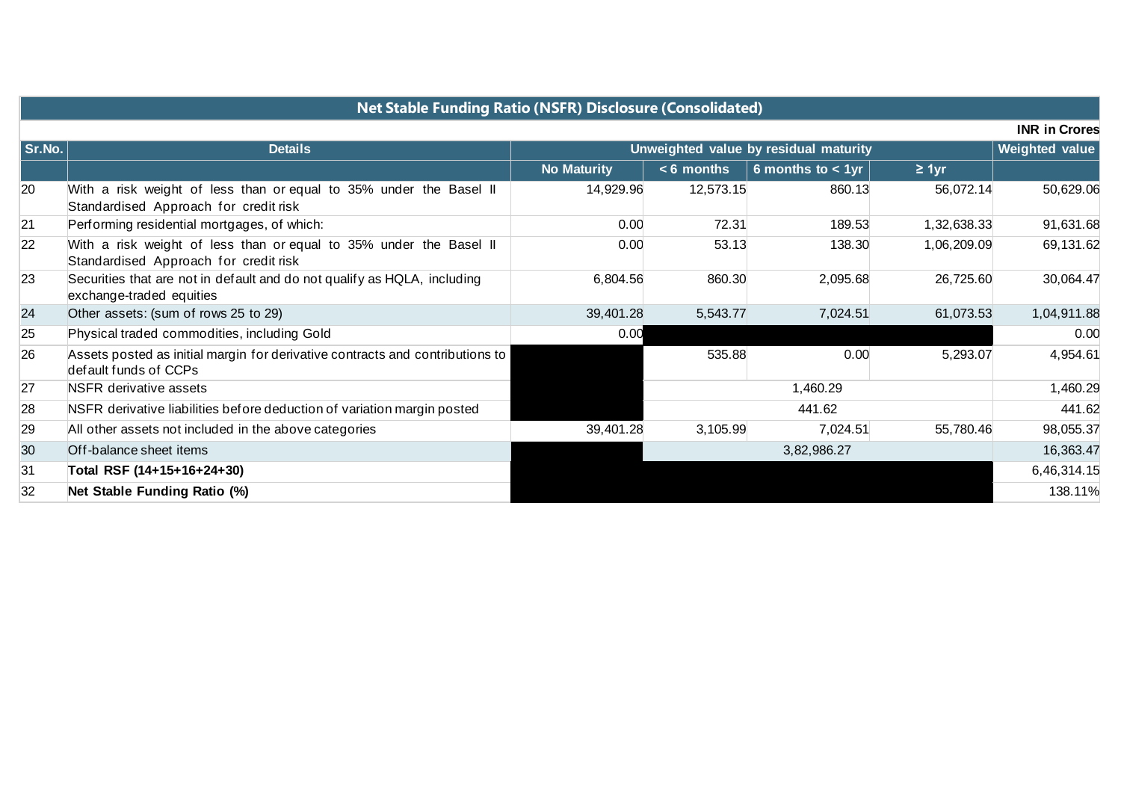| <b>Net Stable Funding Ratio (NSFR) Disclosure (Consolidated)</b> |                                                                                                             |                                       |              |                      |             |                |  |  |  |  |
|------------------------------------------------------------------|-------------------------------------------------------------------------------------------------------------|---------------------------------------|--------------|----------------------|-------------|----------------|--|--|--|--|
| <b>INR in Crores</b>                                             |                                                                                                             |                                       |              |                      |             |                |  |  |  |  |
| Sr.No.                                                           | <b>Details</b>                                                                                              | Unweighted value by residual maturity |              |                      |             | Weighted value |  |  |  |  |
|                                                                  |                                                                                                             | <b>No Maturity</b>                    | $< 6$ months | 6 months to $< 1$ yr | $\geq 1$ yr |                |  |  |  |  |
| 20                                                               | With a risk weight of less than or equal to 35% under the Basel II<br>Standardised Approach for credit risk | 14,929.96                             | 12,573.15    | 860.13               | 56,072.14   | 50,629.06      |  |  |  |  |
| 21                                                               | Performing residential mortgages, of which:                                                                 | 0.00                                  | 72.31        | 189.53               | 1,32,638.33 | 91,631.68      |  |  |  |  |
| 22                                                               | With a risk weight of less than or equal to 35% under the Basel II<br>Standardised Approach for credit risk | 0.00                                  | 53.13        | 138.30               | 1,06,209.09 | 69,131.62      |  |  |  |  |
| 23                                                               | Securities that are not in default and do not qualify as HQLA, including<br>exchange-traded equities        | 6,804.56                              | 860.30       | 2,095.68             | 26,725.60   | 30,064.47      |  |  |  |  |
| 24                                                               | Other assets: (sum of rows 25 to 29)                                                                        | 39,401.28                             | 5,543.77     | 7,024.51             | 61,073.53   | 1,04,911.88    |  |  |  |  |
| 25                                                               | Physical traded commodities, including Gold                                                                 | 0.00                                  |              |                      |             | 0.00           |  |  |  |  |
| 26                                                               | Assets posted as initial margin for derivative contracts and contributions to<br>default funds of CCPs      |                                       | 535.88       | 0.00                 | 5,293.07    | 4,954.61       |  |  |  |  |
| 27                                                               | NSFR derivative assets                                                                                      |                                       | 1,460.29     |                      |             | 1,460.29       |  |  |  |  |
| 28                                                               | NSFR derivative liabilities before deduction of variation margin posted                                     |                                       | 441.62       |                      |             | 441.62         |  |  |  |  |
| 29                                                               | All other assets not included in the above categories                                                       | 39,401.28                             | 3,105.99     | 7,024.51             | 55,780.46   | 98,055.37      |  |  |  |  |
| 30                                                               | Off-balance sheet items                                                                                     |                                       | 3,82,986.27  |                      |             |                |  |  |  |  |
| 31                                                               | Total RSF (14+15+16+24+30)                                                                                  |                                       |              |                      |             | 6,46,314.15    |  |  |  |  |
| 32                                                               | Net Stable Funding Ratio (%)                                                                                |                                       |              |                      |             | 138.11%        |  |  |  |  |